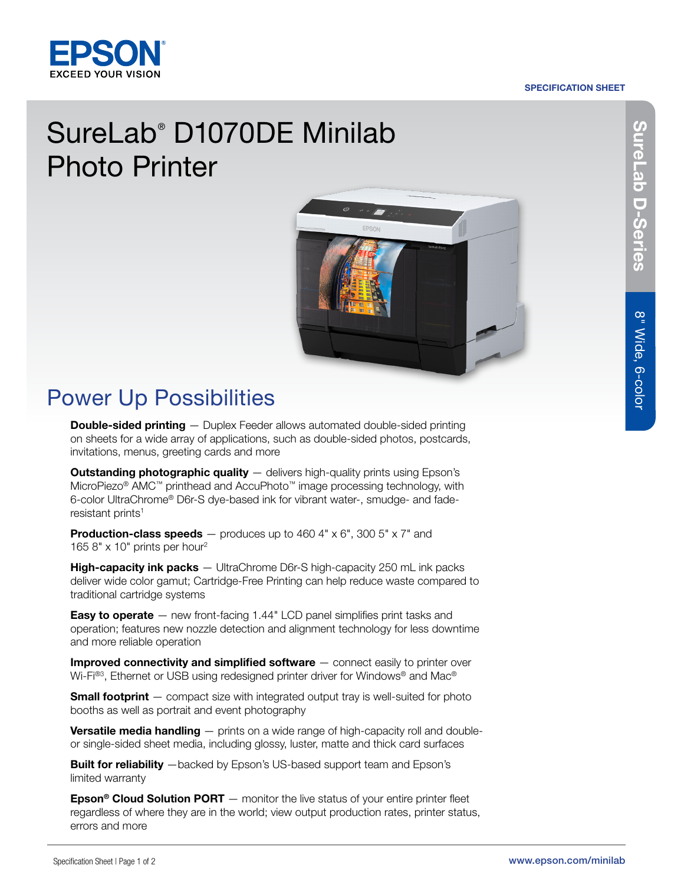#### SPECIFICATION SHEET



## SureLab® D1070DE Minilab Photo Printer



### Power Up Possibilities

**Double-sided printing** — Duplex Feeder allows automated double-sided printing on sheets for a wide array of applications, such as double-sided photos, postcards, invitations, menus, greeting cards and more

**Outstanding photographic quality** - delivers high-quality prints using Epson's MicroPiezo® AMC™ printhead and AccuPhoto™ image processing technology, with 6-color UltraChrome® D6r-S dye-based ink for vibrant water-, smudge- and faderesistant prints<sup>1</sup>

**Production-class speeds**  $-$  produces up to 460 4"  $\times$  6", 300 5"  $\times$  7" and 165 8" x 10" prints per hour2

**High-capacity ink packs** — UltraChrome D6r-S high-capacity 250 mL ink packs deliver wide color gamut; Cartridge-Free Printing can help reduce waste compared to traditional cartridge systems

**Easy to operate**  $-$  new front-facing 1.44" LCD panel simplifies print tasks and operation; features new nozzle detection and alignment technology for less downtime and more reliable operation

**Improved connectivity and simplified software**  $-$  connect easily to printer over Wi-Fi<sup>®3</sup>, Ethernet or USB using redesigned printer driver for Windows<sup>®</sup> and Mac<sup>®</sup>

**Small footprint** — compact size with integrated output tray is well-suited for photo booths as well as portrait and event photography

Versatile media handling - prints on a wide range of high-capacity roll and doubleor single-sided sheet media, including glossy, luster, matte and thick card surfaces

**Built for reliability** —backed by Epson's US-based support team and Epson's limited warranty

**Epson<sup>®</sup> Cloud Solution PORT** — monitor the live status of your entire printer fleet regardless of where they are in the world; view output production rates, printer status, errors and more